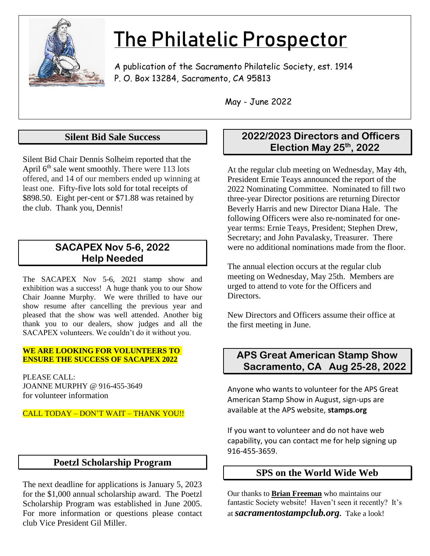

# The Philatelic Prospector

A publication of the Sacramento Philatelic Society, est. 1914 P. O. Box 13284, Sacramento, CA 95813

May - June 2022

# **Silent Bid Sale Success**

Silent Bid Chair Dennis Solheim reported that the April  $6<sup>th</sup>$  sale went smoothly. There were 113 lots offered, and 14 of our members ended up winning at least one. Fifty-five lots sold for total receipts of \$898.50. Eight per-cent or \$71.88 was retained by the club. Thank you, Dennis!

# **SACAPEX Nov 5-6, 2022 Help Needed**

The SACAPEX Nov 5-6, 2021 stamp show and exhibition was a success! A huge thank you to our Show Chair Joanne Murphy. We were thrilled to have our show resume after cancelling the previous year and pleased that the show was well attended. Another big thank you to our dealers, show judges and all the SACAPEX volunteers. We couldn't do it without you.

#### **WE ARE LOOKING FOR VOLUNTEERS TO ENSURE THE SUCCESS OF SACAPEX 2022**

PLEASE CALL: JOANNE MURPHY @ 916-455-3649 for volunteer information

#### CALL TODAY – DON'T WAIT – THANK YOU!!

# **Poetzl Scholarship Program**

The next deadline for applications is January 5, 2023 for the \$1,000 annual scholarship award. The Poetzl Scholarship Program was established in June 2005. For more information or questions please contact club Vice President Gil Miller.

# **2022/2023 Directors and Officers Election May 25th, 2022**

At the regular club meeting on Wednesday, May 4th, President Ernie Teays announced the report of the 2022 Nominating Committee. Nominated to fill two three-year Director positions are returning Director Beverly Harris and new Director Diana Hale. The following Officers were also re-nominated for oneyear terms: Ernie Teays, President; Stephen Drew, Secretary; and John Pavalasky, Treasurer. There were no additional nominations made from the floor.

The annual election occurs at the regular club meeting on Wednesday, May 25th. Members are urged to attend to vote for the Officers and Directors.

New Directors and Officers assume their office at the first meeting in June.

# **APS Great American Stamp Show Sacramento, CA Aug 25-28, 2022**

Anyone who wants to volunteer for the APS Great American Stamp Show in August, sign-ups are available at the APS website, **stamps.org**

If you want to volunteer and do not have web capability, you can contact me for help signing up 916-455-3659.

# **SPS on the World Wide Web**

Our thanks to **Brian Freeman** who maintains our fantastic Society website! Haven't seen it recently? It's at *sacramentostampclub.org.* Take a look!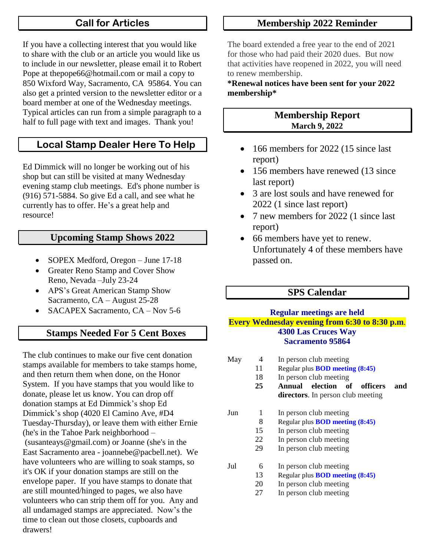# **Call for Articles**

If you have a collecting interest that you would like to share with the club or an article you would like us to include in our newsletter, please email it to Robert Pope at [thepope66@hotmail.com](mailto:thepope66@hotmail.com) or mail a copy to 850 Wixford Way, Sacramento, CA 95864. You can also get a printed version to the newsletter editor or a board member at one of the Wednesday meetings. Typical articles can run from a simple paragraph to a half to full page with text and images. Thank you!

# **Local Stamp Dealer Here To Help**

Ed Dimmick will no longer be working out of his shop but can still be visited at many Wednesday evening stamp club meetings. Ed's phone number is (916) 571-5884. So give Ed a call, and see what he currently has to offer. He's a great help and resource!

#### **Upcoming Stamp Shows 2022**

- SOPEX Medford, Oregon June 17-18
- Greater Reno Stamp and Cover Show Reno, Nevada –July 23-24
- APS's Great American Stamp Show Sacramento, CA – August 25-28
- SACAPEX Sacramento, CA Nov 5-6

# **Stamps Needed For 5 Cent Boxes**

The club continues to make our five cent donation stamps available for members to take stamps home, and then return them when done, on the Honor System. If you have stamps that you would like to donate, please let us know. You can drop off donation stamps at Ed Dimmick's shop Ed Dimmick's shop (4020 El Camino Ave, #D4 Tuesday-Thursday), or leave them with either Ernie (he's in the Tahoe Park neighborhood – (susanteays@gmail.com) or Joanne (she's in the East Sacramento area - joannebe@pacbell.net). We have volunteers who are willing to soak stamps, so it's OK if your donation stamps are still on the envelope paper. If you have stamps to donate that are still mounted/hinged to pages, we also have volunteers who can strip them off for you. Any and all undamaged stamps are appreciated. Now's the time to clean out those closets, cupboards and drawers!

# **Membership 2022 Reminder**

The board extended a free year to the end of 2021 for those who had paid their 2020 dues. But now that activities have reopened in 2022, you will need to renew membership.

**\*Renewal notices have been sent for your 2022 membership\***

# **Membership Report March 9, 2022**

- 166 members for 2022 (15 since last report)
- 156 members have renewed (13 since) last report)
- 3 are lost souls and have renewed for 2022 (1 since last report)
- 7 new members for 2022 (1 since last report)
- 66 members have yet to renew. Unfortunately 4 of these members have passed on.

# **SPS Calendar**

#### **Regular meetings are held Every Wednesday evening from 6:30 to 8:30 p.m**. **4300 Las Cruces Way Sacramento 95864**

May 4 In person club meeting Regular plus **BOD meeting (8:45)** In person club meeting **Annual election of officers and directors**. In person club meeting Jun 1 In person club meeting Regular plus **BOD meeting (8:45)** In person club meeting In person club meeting In person club meeting Jul 6 In person club meeting Regular plus **BOD meeting (8:45)** In person club meeting In person club meeting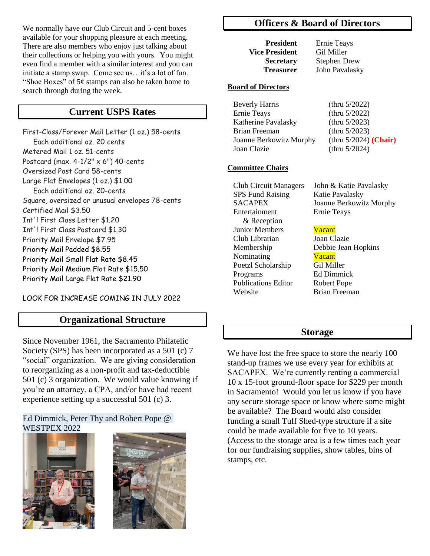We normally have our Club Circuit and 5-cent boxes available for your shopping pleasure at each meeting. There are also members who enjoy just talking about their collections or helping you with yours. You might even find a member with a similar interest and you can initiate a stamp swap. Come see us…it's a lot of fun. "Shoe Boxes" of  $5¢$  stamps can also be taken home to search through during the week.

#### **Current USPS Rates**

First-Class/Forever Mail Letter (1 oz.) 58-cents Each additional oz. 20 cents Metered Mail 1 oz. 51-cents Postcard (max.  $4-1/2$ "  $\times$  6") 40-cents Oversized Post Card 58-cents Large Flat Envelopes (1 oz.) \$1.00 Each additional oz. 20-cents Square, oversized or unusual envelopes 78-cents Certified Mail \$3.50 Int'l First Class Letter \$1.20 Int'l First Class Postcard \$1.30 Priority Mail Envelope \$7.95 Priority Mail Padded \$8.55 Priority Mail Small Flat Rate \$8.45 Priority Mail Medium Flat Rate \$15.50 Priority Mail Large Flat Rate \$21.90

LOOK FOR INCREASE COMING IN JULY 2022

#### **Organizational Structure**

Since November 1961, the Sacramento Philatelic Society (SPS) has been incorporated as a 501 (c) 7 "social" organization. We are giving consideration to reorganizing as a non-profit and tax-deductible 501 (c) 3 organization. We would value knowing if you're an attorney, a CPA, and/or have had recent experience setting up a successful 501 (c) 3.

#### Ed Dimmick, Peter Thy and Robert Pope @ WESTPEX 2022





#### **Officers & Board of Directors**

**President** Ernie Teays **Vice President** Gil Miller

**Secretary** Stephen Drew  **Treasurer** John Pavalasky

#### **Board of Directors**

| <b>Beverly Harris</b>   | (thru $5/2022$ )         |
|-------------------------|--------------------------|
| <b>Ernie Teays</b>      | (thru $5/2022$ )         |
| Katherine Pavalasky     | (thru $5/2023$ )         |
| Brian Freeman           | (thru $5/2023$ )         |
| Joanne Berkowitz Murphy | (thru $5/2024$ ) (Chair) |
| Joan Clazie             | (thru $5/2024$ )         |

#### **Committee Chairs**

SPS Fund Raising Katie Pavalasky Entertainment Ernie Teays & Reception Junior Members **Vacant**  Club Librarian Joan Clazie Nominating Vacant Poetzl Scholarship Gil Miller Programs Ed Dimmick Publications Editor Robert Pope Website **Brian Freeman** 

 Club Circuit Managers John & Katie Pavalasky SACAPEX Joanne Berkowitz Murphy

Membership Debbie Jean Hopkins

#### **Storage**

We have lost the free space to store the nearly 100 stand-up frames we use every year for exhibits at SACAPEX. We're currently renting a commercial 10 x 15-foot ground-floor space for \$229 per month in Sacramento! Would you let us know if you have any secure storage space or know where some might be available? The Board would also consider funding a small Tuff Shed-type structure if a site could be made available for five to 10 years. (Access to the storage area is a few times each year for our fundraising supplies, show tables, bins of stamps, etc.